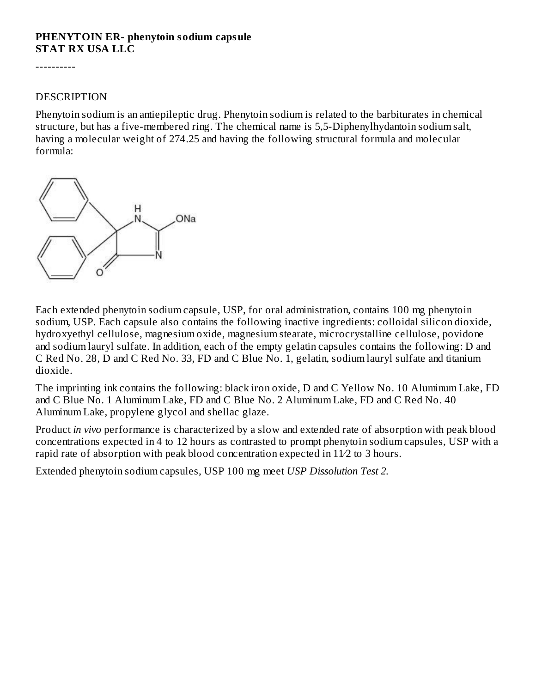#### **PHENYTOIN ER- phenytoin sodium capsule STAT RX USA LLC**

----------

#### DESCRIPTION

Phenytoin sodium is an antiepileptic drug. Phenytoin sodium is related to the barbiturates in chemical structure, but has a five-membered ring. The chemical name is 5,5-Diphenylhydantoin sodium salt, having a molecular weight of 274.25 and having the following structural formula and molecular formula:



Each extended phenytoin sodium capsule, USP, for oral administration, contains 100 mg phenytoin sodium, USP. Each capsule also contains the following inactive ingredients: colloidal silicon dioxide, hydroxyethyl cellulose, magnesium oxide, magnesium stearate, microcrystalline cellulose, povidone and sodium lauryl sulfate. In addition, each of the empty gelatin capsules contains the following: D and C Red No. 28, D and C Red No. 33, FD and C Blue No. 1, gelatin, sodium lauryl sulfate and titanium dioxide.

The imprinting ink contains the following: black iron oxide, D and C Yellow No. 10 Aluminum Lake, FD and C Blue No. 1 Aluminum Lake, FD and C Blue No. 2 Aluminum Lake, FD and C Red No. 40 Aluminum Lake, propylene glycol and shellac glaze.

Product *in vivo* performance is characterized by a slow and extended rate of absorption with peak blood concentrations expected in 4 to 12 hours as contrasted to prompt phenytoin sodium capsules, USP with a rapid rate of absorption with peak blood concentration expected in 11⁄2 to 3 hours.

Extended phenytoin sodium capsules, USP 100 mg meet *USP Dissolution Test 2.*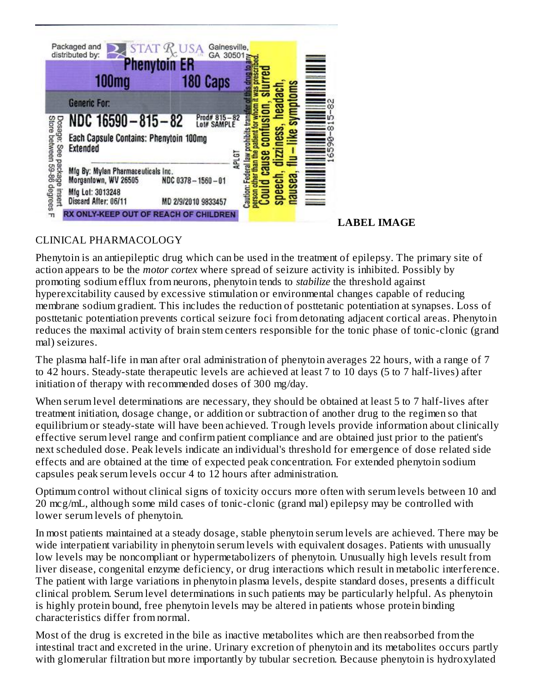

#### **LABEL IMAGE**

# CLINICAL PHARMACOLOGY

Phenytoin is an antiepileptic drug which can be used in the treatment of epilepsy. The primary site of action appears to be the *motor cortex* where spread of seizure activity is inhibited. Possibly by promoting sodium efflux from neurons, phenytoin tends to *stabilize* the threshold against hyperexcitability caused by excessive stimulation or environmental changes capable of reducing membrane sodium gradient. This includes the reduction of posttetanic potentiation at synapses. Loss of posttetanic potentiation prevents cortical seizure foci from detonating adjacent cortical areas. Phenytoin reduces the maximal activity of brain stem centers responsible for the tonic phase of tonic-clonic (grand mal) seizures.

The plasma half-life in man after oral administration of phenytoin averages 22 hours, with a range of 7 to 42 hours. Steady-state therapeutic levels are achieved at least 7 to 10 days (5 to 7 half-lives) after initiation of therapy with recommended doses of 300 mg/day.

When serum level determinations are necessary, they should be obtained at least 5 to 7 half-lives after treatment initiation, dosage change, or addition or subtraction of another drug to the regimen so that equilibrium or steady-state will have been achieved. Trough levels provide information about clinically effective serum level range and confirm patient compliance and are obtained just prior to the patient's next scheduled dose. Peak levels indicate an individual's threshold for emergence of dose related side effects and are obtained at the time of expected peak concentration. For extended phenytoin sodium capsules peak serum levels occur 4 to 12 hours after administration.

Optimum control without clinical signs of toxicity occurs more often with serum levels between 10 and 20 mcg/mL, although some mild cases of tonic-clonic (grand mal) epilepsy may be controlled with lower serum levels of phenytoin.

In most patients maintained at a steady dosage, stable phenytoin serum levels are achieved. There may be wide interpatient variability in phenytoin serum levels with equivalent dosages. Patients with unusually low levels may be noncompliant or hypermetabolizers of phenytoin. Unusually high levels result from liver disease, congenital enzyme deficiency, or drug interactions which result in metabolic interference. The patient with large variations in phenytoin plasma levels, despite standard doses, presents a difficult clinical problem. Serum level determinations in such patients may be particularly helpful. As phenytoin is highly protein bound, free phenytoin levels may be altered in patients whose protein binding characteristics differ from normal.

Most of the drug is excreted in the bile as inactive metabolites which are then reabsorbed from the intestinal tract and excreted in the urine. Urinary excretion of phenytoin and its metabolites occurs partly with glomerular filtration but more importantly by tubular secretion. Because phenytoin is hydroxylated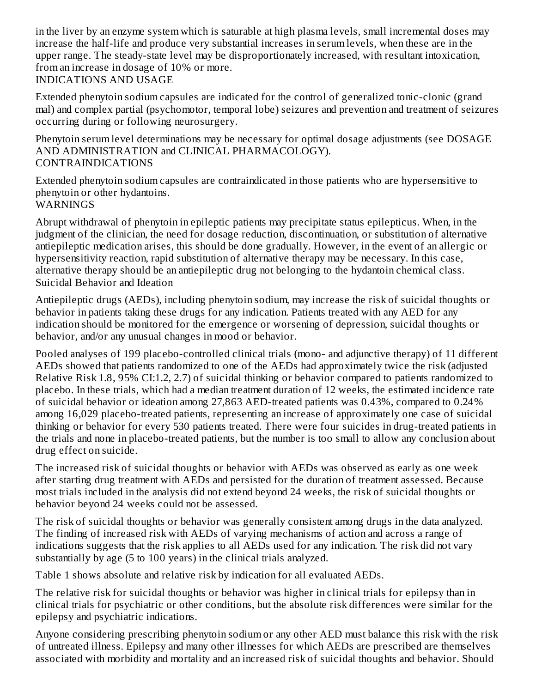in the liver by an enzyme system which is saturable at high plasma levels, small incremental doses may increase the half-life and produce very substantial increases in serum levels, when these are in the upper range. The steady-state level may be disproportionately increased, with resultant intoxication, from an increase in dosage of 10% or more. INDICATIONS AND USAGE

Extended phenytoin sodium capsules are indicated for the control of generalized tonic-clonic (grand mal) and complex partial (psychomotor, temporal lobe) seizures and prevention and treatment of seizures occurring during or following neurosurgery.

Phenytoin serum level determinations may be necessary for optimal dosage adjustments (see DOSAGE AND ADMINISTRATION and CLINICAL PHARMACOLOGY). CONTRAINDICATIONS

Extended phenytoin sodium capsules are contraindicated in those patients who are hypersensitive to phenytoin or other hydantoins. WARNINGS

Abrupt withdrawal of phenytoin in epileptic patients may precipitate status epilepticus. When, in the judgment of the clinician, the need for dosage reduction, discontinuation, or substitution of alternative antiepileptic medication arises, this should be done gradually. However, in the event of an allergic or hypersensitivity reaction, rapid substitution of alternative therapy may be necessary. In this case, alternative therapy should be an antiepileptic drug not belonging to the hydantoin chemical class. Suicidal Behavior and Ideation

Antiepileptic drugs (AEDs), including phenytoin sodium, may increase the risk of suicidal thoughts or behavior in patients taking these drugs for any indication. Patients treated with any AED for any indication should be monitored for the emergence or worsening of depression, suicidal thoughts or behavior, and/or any unusual changes in mood or behavior.

Pooled analyses of 199 placebo-controlled clinical trials (mono- and adjunctive therapy) of 11 different AEDs showed that patients randomized to one of the AEDs had approximately twice the risk (adjusted Relative Risk 1.8, 95% CI:1.2, 2.7) of suicidal thinking or behavior compared to patients randomized to placebo. In these trials, which had a median treatment duration of 12 weeks, the estimated incidence rate of suicidal behavior or ideation among 27,863 AED-treated patients was 0.43%, compared to 0.24% among 16,029 placebo-treated patients, representing an increase of approximately one case of suicidal thinking or behavior for every 530 patients treated. There were four suicides in drug-treated patients in the trials and none in placebo-treated patients, but the number is too small to allow any conclusion about drug effect on suicide.

The increased risk of suicidal thoughts or behavior with AEDs was observed as early as one week after starting drug treatment with AEDs and persisted for the duration of treatment assessed. Because most trials included in the analysis did not extend beyond 24 weeks, the risk of suicidal thoughts or behavior beyond 24 weeks could not be assessed.

The risk of suicidal thoughts or behavior was generally consistent among drugs in the data analyzed. The finding of increased risk with AEDs of varying mechanisms of action and across a range of indications suggests that the risk applies to all AEDs used for any indication. The risk did not vary substantially by age (5 to 100 years) in the clinical trials analyzed.

Table 1 shows absolute and relative risk by indication for all evaluated AEDs.

The relative risk for suicidal thoughts or behavior was higher in clinical trials for epilepsy than in clinical trials for psychiatric or other conditions, but the absolute risk differences were similar for the epilepsy and psychiatric indications.

Anyone considering prescribing phenytoin sodium or any other AED must balance this risk with the risk of untreated illness. Epilepsy and many other illnesses for which AEDs are prescribed are themselves associated with morbidity and mortality and an increased risk of suicidal thoughts and behavior. Should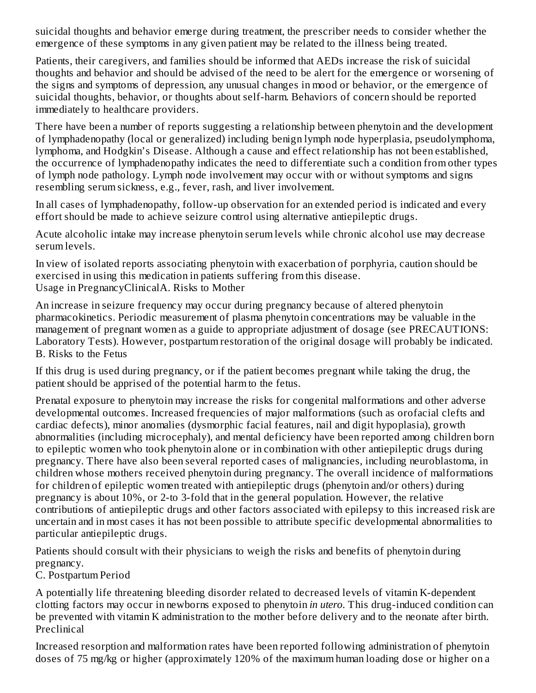suicidal thoughts and behavior emerge during treatment, the prescriber needs to consider whether the emergence of these symptoms in any given patient may be related to the illness being treated.

Patients, their caregivers, and families should be informed that AEDs increase the risk of suicidal thoughts and behavior and should be advised of the need to be alert for the emergence or worsening of the signs and symptoms of depression, any unusual changes in mood or behavior, or the emergence of suicidal thoughts, behavior, or thoughts about self-harm. Behaviors of concern should be reported immediately to healthcare providers.

There have been a number of reports suggesting a relationship between phenytoin and the development of lymphadenopathy (local or generalized) including benign lymph node hyperplasia, pseudolymphoma, lymphoma, and Hodgkin's Disease. Although a cause and effect relationship has not been established, the occurrence of lymphadenopathy indicates the need to differentiate such a condition from other types of lymph node pathology. Lymph node involvement may occur with or without symptoms and signs resembling serum sickness, e.g., fever, rash, and liver involvement.

In all cases of lymphadenopathy, follow-up observation for an extended period is indicated and every effort should be made to achieve seizure control using alternative antiepileptic drugs.

Acute alcoholic intake may increase phenytoin serum levels while chronic alcohol use may decrease serum levels.

In view of isolated reports associating phenytoin with exacerbation of porphyria, caution should be exercised in using this medication in patients suffering from this disease. Usage in PregnancyClinicalA. Risks to Mother

An increase in seizure frequency may occur during pregnancy because of altered phenytoin pharmacokinetics. Periodic measurement of plasma phenytoin concentrations may be valuable in the management of pregnant women as a guide to appropriate adjustment of dosage (see PRECAUTIONS: Laboratory Tests). However, postpartum restoration of the original dosage will probably be indicated. B. Risks to the Fetus

If this drug is used during pregnancy, or if the patient becomes pregnant while taking the drug, the patient should be apprised of the potential harm to the fetus.

Prenatal exposure to phenytoin may increase the risks for congenital malformations and other adverse developmental outcomes. Increased frequencies of major malformations (such as orofacial clefts and cardiac defects), minor anomalies (dysmorphic facial features, nail and digit hypoplasia), growth abnormalities (including microcephaly), and mental deficiency have been reported among children born to epileptic women who took phenytoin alone or in combination with other antiepileptic drugs during pregnancy. There have also been several reported cases of malignancies, including neuroblastoma, in children whose mothers received phenytoin during pregnancy. The overall incidence of malformations for children of epileptic women treated with antiepileptic drugs (phenytoin and/or others) during pregnancy is about 10%, or 2-to 3-fold that in the general population. However, the relative contributions of antiepileptic drugs and other factors associated with epilepsy to this increased risk are uncertain and in most cases it has not been possible to attribute specific developmental abnormalities to particular antiepileptic drugs.

Patients should consult with their physicians to weigh the risks and benefits of phenytoin during pregnancy.

C. Postpartum Period

A potentially life threatening bleeding disorder related to decreased levels of vitamin K-dependent clotting factors may occur in newborns exposed to phenytoin *in utero*. This drug-induced condition can be prevented with vitamin K administration to the mother before delivery and to the neonate after birth. Preclinical

Increased resorption and malformation rates have been reported following administration of phenytoin doses of 75 mg/kg or higher (approximately 120% of the maximum human loading dose or higher on a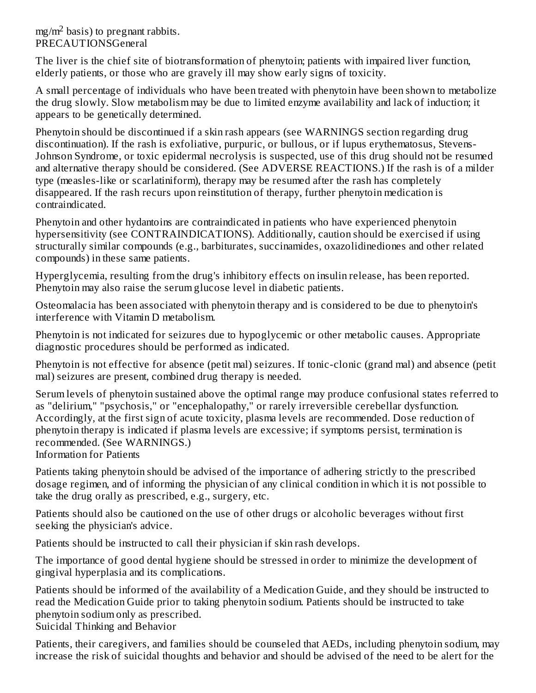$mg/m<sup>2</sup>$  basis) to pregnant rabbits. PRECAUTIONSGeneral

The liver is the chief site of biotransformation of phenytoin; patients with impaired liver function, elderly patients, or those who are gravely ill may show early signs of toxicity.

A small percentage of individuals who have been treated with phenytoin have been shown to metabolize the drug slowly. Slow metabolism may be due to limited enzyme availability and lack of induction; it appears to be genetically determined.

Phenytoin should be discontinued if a skin rash appears (see WARNINGS section regarding drug discontinuation). If the rash is exfoliative, purpuric, or bullous, or if lupus erythematosus, Stevens-Johnson Syndrome, or toxic epidermal necrolysis is suspected, use of this drug should not be resumed and alternative therapy should be considered. (See ADVERSE REACTIONS.) If the rash is of a milder type (measles-like or scarlatiniform), therapy may be resumed after the rash has completely disappeared. If the rash recurs upon reinstitution of therapy, further phenytoin medication is contraindicated.

Phenytoin and other hydantoins are contraindicated in patients who have experienced phenytoin hypersensitivity (see CONTRAINDICATIONS). Additionally, caution should be exercised if using structurally similar compounds (e.g., barbiturates, succinamides, oxazolidinediones and other related compounds) in these same patients.

Hyperglycemia, resulting from the drug's inhibitory effects on insulin release, has been reported. Phenytoin may also raise the serum glucose level in diabetic patients.

Osteomalacia has been associated with phenytoin therapy and is considered to be due to phenytoin's interference with Vitamin D metabolism.

Phenytoin is not indicated for seizures due to hypoglycemic or other metabolic causes. Appropriate diagnostic procedures should be performed as indicated.

Phenytoin is not effective for absence (petit mal) seizures. If tonic-clonic (grand mal) and absence (petit mal) seizures are present, combined drug therapy is needed.

Serum levels of phenytoin sustained above the optimal range may produce confusional states referred to as "delirium," "psychosis," or "encephalopathy," or rarely irreversible cerebellar dysfunction. Accordingly, at the first sign of acute toxicity, plasma levels are recommended. Dose reduction of phenytoin therapy is indicated if plasma levels are excessive; if symptoms persist, termination is recommended. (See WARNINGS.) Information for Patients

Patients taking phenytoin should be advised of the importance of adhering strictly to the prescribed dosage regimen, and of informing the physician of any clinical condition in which it is not possible to take the drug orally as prescribed, e.g., surgery, etc.

Patients should also be cautioned on the use of other drugs or alcoholic beverages without first seeking the physician's advice.

Patients should be instructed to call their physician if skin rash develops.

The importance of good dental hygiene should be stressed in order to minimize the development of gingival hyperplasia and its complications.

Patients should be informed of the availability of a Medication Guide, and they should be instructed to read the Medication Guide prior to taking phenytoin sodium. Patients should be instructed to take phenytoin sodium only as prescribed.

Suicidal Thinking and Behavior

Patients, their caregivers, and families should be counseled that AEDs, including phenytoin sodium, may increase the risk of suicidal thoughts and behavior and should be advised of the need to be alert for the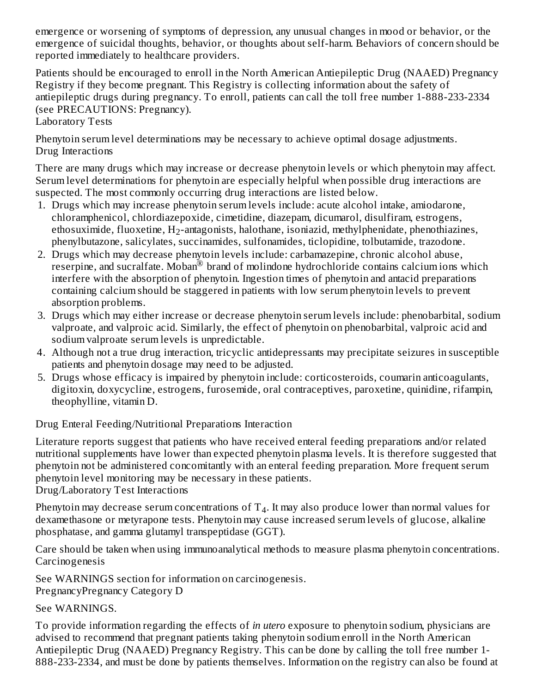emergence or worsening of symptoms of depression, any unusual changes in mood or behavior, or the emergence of suicidal thoughts, behavior, or thoughts about self-harm. Behaviors of concern should be reported immediately to healthcare providers.

Patients should be encouraged to enroll in the North American Antiepileptic Drug (NAAED) Pregnancy Registry if they become pregnant. This Registry is collecting information about the safety of antiepileptic drugs during pregnancy. To enroll, patients can call the toll free number 1-888-233-2334 (see PRECAUTIONS: Pregnancy). Laboratory Tests

Phenytoin serum level determinations may be necessary to achieve optimal dosage adjustments. Drug Interactions

There are many drugs which may increase or decrease phenytoin levels or which phenytoin may affect. Serum level determinations for phenytoin are especially helpful when possible drug interactions are suspected. The most commonly occurring drug interactions are listed below.

- 1. Drugs which may increase phenytoin serum levels include: acute alcohol intake, amiodarone, chloramphenicol, chlordiazepoxide, cimetidine, diazepam, dicumarol, disulfiram, estrogens, ethosuximide, fluoxetine,  $H_2$ -antagonists, halothane, isoniazid, methylphenidate, phenothiazines, phenylbutazone, salicylates, succinamides, sulfonamides, ticlopidine, tolbutamide, trazodone.
- 2. Drugs which may decrease phenytoin levels include: carbamazepine, chronic alcohol abuse, reserpine, and sucralfate. Moban<sup> $\circledast$ </sup> brand of molindone hydrochloride contains calcium ions which interfere with the absorption of phenytoin. Ingestion times of phenytoin and antacid preparations containing calcium should be staggered in patients with low serum phenytoin levels to prevent absorption problems.
- 3. Drugs which may either increase or decrease phenytoin serum levels include: phenobarbital, sodium valproate, and valproic acid. Similarly, the effect of phenytoin on phenobarbital, valproic acid and sodium valproate serum levels is unpredictable.
- 4. Although not a true drug interaction, tricyclic antidepressants may precipitate seizures in susceptible patients and phenytoin dosage may need to be adjusted.
- 5. Drugs whose efficacy is impaired by phenytoin include: corticosteroids, coumarin anticoagulants, digitoxin, doxycycline, estrogens, furosemide, oral contraceptives, paroxetine, quinidine, rifampin, theophylline, vitamin D.

Drug Enteral Feeding/Nutritional Preparations Interaction

Literature reports suggest that patients who have received enteral feeding preparations and/or related nutritional supplements have lower than expected phenytoin plasma levels. It is therefore suggested that phenytoin not be administered concomitantly with an enteral feeding preparation. More frequent serum phenytoin level monitoring may be necessary in these patients. Drug/Laboratory Test Interactions

Phenytoin may decrease serum concentrations of  $T_{4}$ . It may also produce lower than normal values for dexamethasone or metyrapone tests. Phenytoin may cause increased serum levels of glucose, alkaline phosphatase, and gamma glutamyl transpeptidase (GGT).

Care should be taken when using immunoanalytical methods to measure plasma phenytoin concentrations. Carcinogenesis

See WARNINGS section for information on carcinogenesis. PregnancyPregnancy Category D

# See WARNINGS.

To provide information regarding the effects of *in utero* exposure to phenytoin sodium, physicians are advised to recommend that pregnant patients taking phenytoin sodium enroll in the North American Antiepileptic Drug (NAAED) Pregnancy Registry. This can be done by calling the toll free number 1- 888-233-2334, and must be done by patients themselves. Information on the registry can also be found at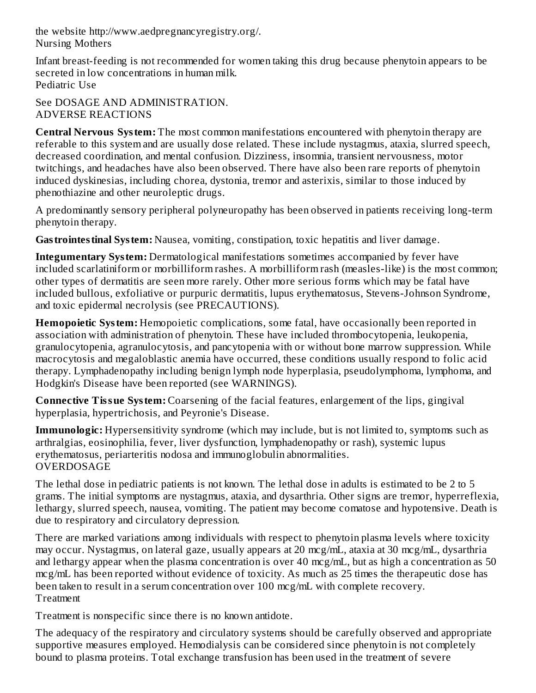the website http://www.aedpregnancyregistry.org/. Nursing Mothers

Infant breast-feeding is not recommended for women taking this drug because phenytoin appears to be secreted in low concentrations in human milk. Pediatric Use

See DOSAGE AND ADMINISTRATION. ADVERSE REACTIONS

**Central Nervous System:** The most common manifestations encountered with phenytoin therapy are referable to this system and are usually dose related. These include nystagmus, ataxia, slurred speech, decreased coordination, and mental confusion. Dizziness, insomnia, transient nervousness, motor twitchings, and headaches have also been observed. There have also been rare reports of phenytoin induced dyskinesias, including chorea, dystonia, tremor and asterixis, similar to those induced by phenothiazine and other neuroleptic drugs.

A predominantly sensory peripheral polyneuropathy has been observed in patients receiving long-term phenytoin therapy.

**Gastrointestinal System:** Nausea, vomiting, constipation, toxic hepatitis and liver damage.

**Integumentary System:** Dermatological manifestations sometimes accompanied by fever have included scarlatiniform or morbilliform rashes. A morbilliform rash (measles-like) is the most common; other types of dermatitis are seen more rarely. Other more serious forms which may be fatal have included bullous, exfoliative or purpuric dermatitis, lupus erythematosus, Stevens-Johnson Syndrome, and toxic epidermal necrolysis (see PRECAUTIONS).

**Hemopoietic System:** Hemopoietic complications, some fatal, have occasionally been reported in association with administration of phenytoin. These have included thrombocytopenia, leukopenia, granulocytopenia, agranulocytosis, and pancytopenia with or without bone marrow suppression. While macrocytosis and megaloblastic anemia have occurred, these conditions usually respond to folic acid therapy. Lymphadenopathy including benign lymph node hyperplasia, pseudolymphoma, lymphoma, and Hodgkin's Disease have been reported (see WARNINGS).

**Connective Tissue System:** Coarsening of the facial features, enlargement of the lips, gingival hyperplasia, hypertrichosis, and Peyronie's Disease.

**Immunologic:** Hypersensitivity syndrome (which may include, but is not limited to, symptoms such as arthralgias, eosinophilia, fever, liver dysfunction, lymphadenopathy or rash), systemic lupus erythematosus, periarteritis nodosa and immunoglobulin abnormalities. OVERDOSAGE

The lethal dose in pediatric patients is not known. The lethal dose in adults is estimated to be 2 to 5 grams. The initial symptoms are nystagmus, ataxia, and dysarthria. Other signs are tremor, hyperreflexia, lethargy, slurred speech, nausea, vomiting. The patient may become comatose and hypotensive. Death is due to respiratory and circulatory depression.

There are marked variations among individuals with respect to phenytoin plasma levels where toxicity may occur. Nystagmus, on lateral gaze, usually appears at 20 mcg/mL, ataxia at 30 mcg/mL, dysarthria and lethargy appear when the plasma concentration is over 40 mcg/mL, but as high a concentration as 50 mcg/mL has been reported without evidence of toxicity. As much as 25 times the therapeutic dose has been taken to result in a serum concentration over 100 mcg/mL with complete recovery. **Treatment** 

Treatment is nonspecific since there is no known antidote.

The adequacy of the respiratory and circulatory systems should be carefully observed and appropriate supportive measures employed. Hemodialysis can be considered since phenytoin is not completely bound to plasma proteins. Total exchange transfusion has been used in the treatment of severe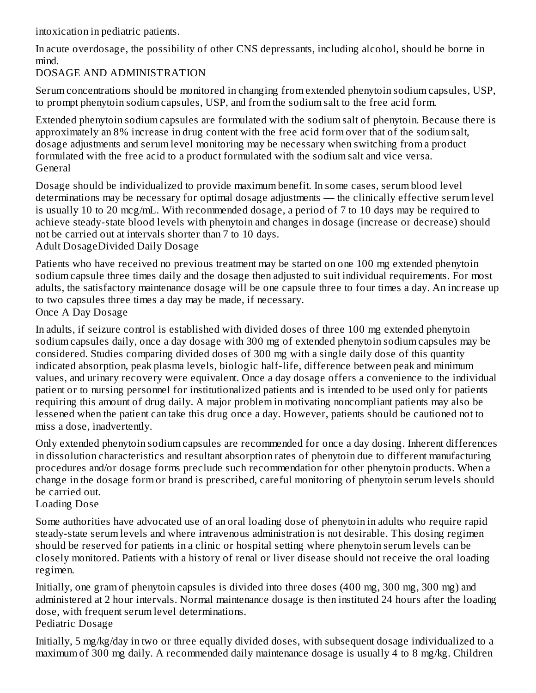intoxication in pediatric patients.

In acute overdosage, the possibility of other CNS depressants, including alcohol, should be borne in mind.

# DOSAGE AND ADMINISTRATION

Serum concentrations should be monitored in changing from extended phenytoin sodium capsules, USP, to prompt phenytoin sodium capsules, USP, and from the sodium salt to the free acid form.

Extended phenytoin sodium capsules are formulated with the sodium salt of phenytoin. Because there is approximately an 8% increase in drug content with the free acid form over that of the sodium salt, dosage adjustments and serum level monitoring may be necessary when switching from a product formulated with the free acid to a product formulated with the sodium salt and vice versa. General

Dosage should be individualized to provide maximum benefit. In some cases, serum blood level determinations may be necessary for optimal dosage adjustments — the clinically effective serum level is usually 10 to 20 mcg/mL. With recommended dosage, a period of 7 to 10 days may be required to achieve steady-state blood levels with phenytoin and changes in dosage (increase or decrease) should not be carried out at intervals shorter than 7 to 10 days.

# Adult DosageDivided Daily Dosage

Patients who have received no previous treatment may be started on one 100 mg extended phenytoin sodium capsule three times daily and the dosage then adjusted to suit individual requirements. For most adults, the satisfactory maintenance dosage will be one capsule three to four times a day. An increase up to two capsules three times a day may be made, if necessary. Once A Day Dosage

In adults, if seizure control is established with divided doses of three 100 mg extended phenytoin sodium capsules daily, once a day dosage with 300 mg of extended phenytoin sodium capsules may be considered. Studies comparing divided doses of 300 mg with a single daily dose of this quantity indicated absorption, peak plasma levels, biologic half-life, difference between peak and minimum values, and urinary recovery were equivalent. Once a day dosage offers a convenience to the individual patient or to nursing personnel for institutionalized patients and is intended to be used only for patients requiring this amount of drug daily. A major problem in motivating noncompliant patients may also be lessened when the patient can take this drug once a day. However, patients should be cautioned not to miss a dose, inadvertently.

Only extended phenytoin sodium capsules are recommended for once a day dosing. Inherent differences in dissolution characteristics and resultant absorption rates of phenytoin due to different manufacturing procedures and/or dosage forms preclude such recommendation for other phenytoin products. When a change in the dosage form or brand is prescribed, careful monitoring of phenytoin serum levels should be carried out.

# Loading Dose

Some authorities have advocated use of an oral loading dose of phenytoin in adults who require rapid steady-state serum levels and where intravenous administration is not desirable. This dosing regimen should be reserved for patients in a clinic or hospital setting where phenytoin serum levels can be closely monitored. Patients with a history of renal or liver disease should not receive the oral loading regimen.

Initially, one gram of phenytoin capsules is divided into three doses (400 mg, 300 mg, 300 mg) and administered at 2 hour intervals. Normal maintenance dosage is then instituted 24 hours after the loading dose, with frequent serum level determinations. Pediatric Dosage

Initially, 5 mg/kg/day in two or three equally divided doses, with subsequent dosage individualized to a maximum of 300 mg daily. A recommended daily maintenance dosage is usually 4 to 8 mg/kg. Children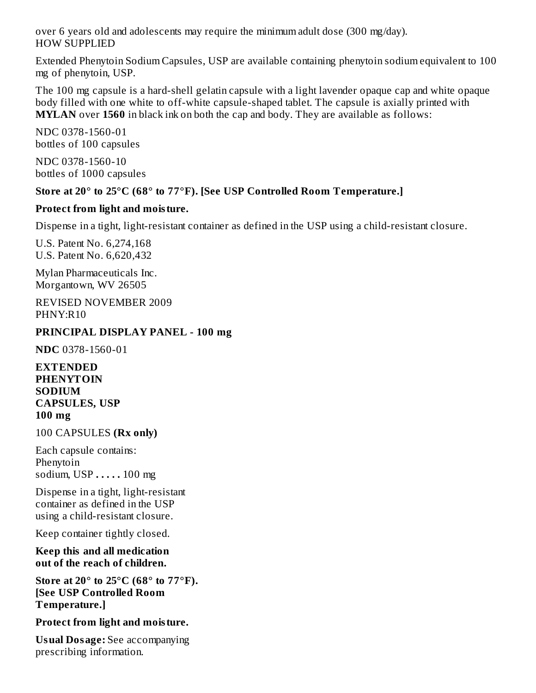over 6 years old and adolescents may require the minimum adult dose (300 mg/day). HOW SUPPLIED

Extended Phenytoin Sodium Capsules, USP are available containing phenytoin sodium equivalent to 100 mg of phenytoin, USP.

The 100 mg capsule is a hard-shell gelatin capsule with a light lavender opaque cap and white opaque body filled with one white to off-white capsule-shaped tablet. The capsule is axially printed with **MYLAN** over **1560** in black ink on both the cap and body. They are available as follows:

NDC 0378-1560-01 bottles of 100 capsules

NDC 0378-1560-10 bottles of 1000 capsules

# **Store at 20° to 25°C (68° to 77°F). [See USP Controlled Room Temperature.]**

# **Protect from light and moisture.**

Dispense in a tight, light-resistant container as defined in the USP using a child-resistant closure.

U.S. Patent No. 6,274,168 U.S. Patent No. 6,620,432

Mylan Pharmaceuticals Inc. Morgantown, WV 26505

REVISED NOVEMBER 2009 PHNY:R10

#### **PRINCIPAL DISPLAY PANEL - 100 mg**

**NDC** 0378-1560-01

**EXTENDED PHENYTOIN SODIUM CAPSULES, USP 100 mg**

100 CAPSULES **(Rx only)**

Each capsule contains: Phenytoin sodium, USP **. . . . .** 100 mg

Dispense in a tight, light-resistant container as defined in the USP using a child-resistant closure.

Keep container tightly closed.

**Keep this and all medication out of the reach of children.**

**Store at 20° to 25°C (68° to 77°F). [See USP Controlled Room Temperature.]**

#### **Protect from light and moisture.**

**Usual Dosage:** See accompanying prescribing information.